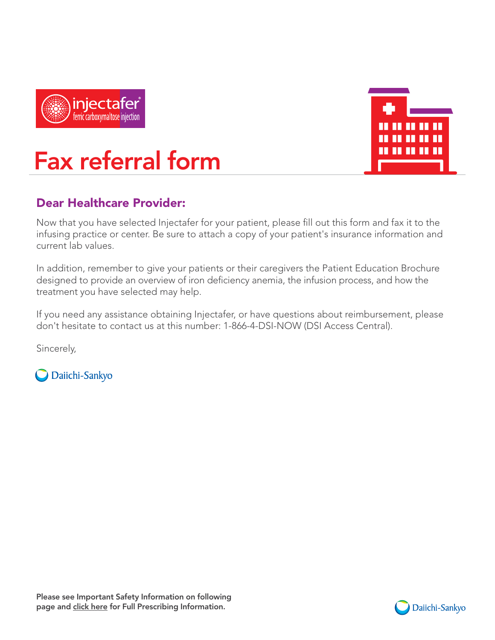



### Fax referral form Now that you have selected Injectafer for your patient, please fill out this form and fax it to the

### Dear Healthcare Provider:

Now that you have selected Injectafer for your patient, please fill out this form and fax it to the infusing practice or center. Be sure to attach a copy of your patient's insurance information and current lab values.

In addition, remember to give your patients or their caregivers the Patient Education Brochure designed to provide an overview of iron deficiency anemia, the infusion process, and how the treatment you have selected may help.

If you need any assistance obtaining Injectafer, or have questions about reimbursement, please don't hesitate to contact us at this number: 1-866-4-DSI-NOW (DSI Access Central).

Sincerely,

O Daiichi-Sankyo

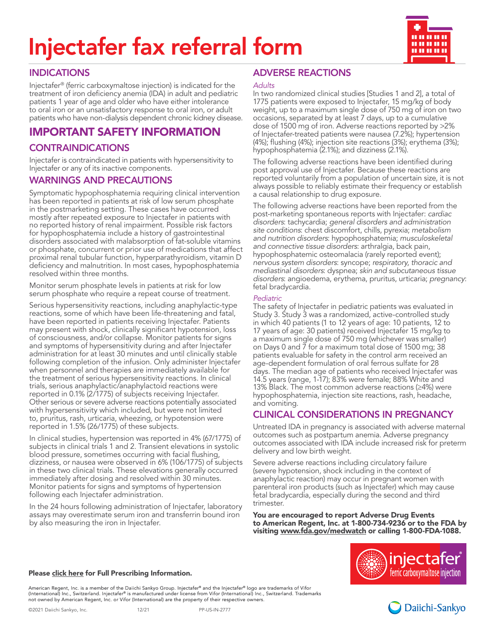# Injectafer fax referral form



### INDICATIONS

Injectafer® (ferric carboxymaltose injection) is indicated for the treatment of iron deficiency anemia (IDA) in adult and pediatric patients 1 year of age and older who have either intolerance to oral iron or an unsatisfactory response to oral iron, or adult patients who have non-dialysis dependent chronic kidney disease.

### IMPORTANT SAFETY INFORMATION

### CONTRAINDICATIONS

Injectafer is contraindicated in patients with hypersensitivity to Injectafer or any of its inactive components.

### WARNINGS AND PRECAUTIONS

Symptomatic hypophosphatemia requiring clinical intervention has been reported in patients at risk of low serum phosphate in the postmarketing setting. These cases have occurred mostly after repeated exposure to Injectafer in patients with no reported history of renal impairment. Possible risk factors for hypophosphatemia include a history of gastrointestinal disorders associated with malabsorption of fat-soluble vitamins or phosphate, concurrent or prior use of medications that affect proximal renal tubular function, hyperparathyroidism, vitamin D deficiency and malnutrition. In most cases, hypophosphatemia resolved within three months.

Monitor serum phosphate levels in patients at risk for low serum phosphate who require a repeat course of treatment.

Serious hypersensitivity reactions, including anaphylactic-type reactions, some of which have been life-threatening and fatal, have been reported in patients receiving Injectafer. Patients may present with shock, clinically significant hypotension, loss of consciousness, and/or collapse. Monitor patients for signs and symptoms of hypersensitivity during and after Injectafer administration for at least 30 minutes and until clinically stable following completion of the infusion. Only administer Injectafer when personnel and therapies are immediately available for the treatment of serious hypersensitivity reactions. In clinical trials, serious anaphylactic/anaphylactoid reactions were reported in 0.1% (2/1775) of subjects receiving Injectafer. Other serious or severe adverse reactions potentially associated with hypersensitivity which included, but were not limited to, pruritus, rash, urticaria, wheezing, or hypotension were reported in 1.5% (26/1775) of these subjects.

In clinical studies, hypertension was reported in 4% (67/1775) of subjects in clinical trials 1 and 2. Transient elevations in systolic blood pressure, sometimes occurring with facial flushing, dizziness, or nausea were observed in 6% (106/1775) of subjects in these two clinical trials. These elevations generally occurred immediately after dosing and resolved within 30 minutes. Monitor patients for signs and symptoms of hypertension following each Injectafer administration.

In the 24 hours following administration of Injectafer, laboratory assays may overestimate serum iron and transferrin bound iron by also measuring the iron in Injectafer.

### ADVERSE REACTIONS

#### *Adults*

In two randomized clinical studies [Studies 1 and 2], a total of 1775 patients were exposed to Injectafer, 15 mg/kg of body weight, up to a maximum single dose of 750 mg of iron on two occasions, separated by at least 7 days, up to a cumulative dose of 1500 mg of iron. Adverse reactions reported by >2% of Injectafer-treated patients were nausea (7.2%); hypertension (4%); flushing (4%); injection site reactions (3%); erythema (3%); hypophosphatemia (2.1%); and dizziness (2.1%).

The following adverse reactions have been identified during post approval use of Injectafer. Because these reactions are reported voluntarily from a population of uncertain size, it is not always possible to reliably estimate their frequency or establish a causal relationship to drug exposure.

The following adverse reactions have been reported from the post-marketing spontaneous reports with Injectafer: *cardiac disorders*: tachycardia; *general disorders and administration site conditions*: chest discomfort, chills, pyrexia; *metabolism and nutrition disorders*: hypophosphatemia; *musculoskeletal and connective tissue disorders*: arthralgia, back pain, hypophosphatemic osteomalacia (rarely reported event); *nervous system disorders*: syncope; *respiratory*, *thoracic and mediastinal disorders*: dyspnea; *skin and subcutaneous tissue disorders*: angioedema, erythema, pruritus, urticaria; *pregnancy*: fetal bradycardia.

### *Pediatric*

The safety of Injectafer in pediatric patients was evaluated in Study 3. Study 3 was a randomized, active-controlled study in which 40 patients (1 to 12 years of age: 10 patients, 12 to 17 years of age: 30 patients) received Injectafer 15 mg/kg to a maximum single dose of 750 mg (whichever was smaller) on Days 0 and 7 for a maximum total dose of 1500 mg; 38 patients evaluable for safety in the control arm received an age-dependent formulation of oral ferrous sulfate for 28 days. The median age of patients who received Injectafer was 14.5 years (range, 1-17); 83% were female; 88% White and 13% Black. The most common adverse reactions (≥4%) were hypophosphatemia, injection site reactions, rash, headache, and vomiting.

### CLINICAL CONSIDERATIONS IN PREGNANCY

Untreated IDA in pregnancy is associated with adverse maternal outcomes such as postpartum anemia. Adverse pregnancy outcomes associated with IDA include increased risk for preterm delivery and low birth weight.

Severe adverse reactions including circulatory failure (severe hypotension, shock including in the context of anaphylactic reaction) may occur in pregnant women with parenteral iron products (such as Injectafer) which may cause fetal bradycardia, especially during the second and third trimester.

You are encouraged to report Adverse Drug Events to American Regent, Inc. at 1-800-734-9236 or to the FDA by visiting [www.fda.gov/medwatch](http://www.fda.gov/medwatch) or calling 1-800-FDA-1088.

#### Pleas[e click here](https://daiichisankyo.us/prescribing-information-portlet/getDocument?product=IF&inline=true) for Full Prescribing Information.



American Regent, Inc. is a member of the Daiichi Sankyo Group. Injectafer® and the Injectafer® logo are trademarks of Vifor (International) Inc., Switzerland. Injectafer® is manufactured under license from Vifor (International) Inc., Switzerland. Trademarks<br>not owned by American Regent, Inc. or Vifor (International) are the property of their re

©2021 Daiichi Sankyo, Inc. 12/21 PP-US-IN-2777

Daiichi-Sankyo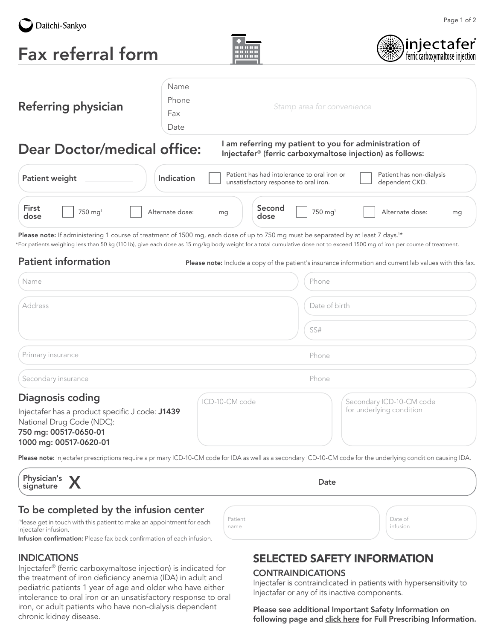

Fax referral form





| <b>Referring physician</b>                                                                                                                                            | Name<br>Phone<br>Fax<br>Date | Stamp area for convenience                                                                                                                                                                                                                                                                                                  |  |  |
|-----------------------------------------------------------------------------------------------------------------------------------------------------------------------|------------------------------|-----------------------------------------------------------------------------------------------------------------------------------------------------------------------------------------------------------------------------------------------------------------------------------------------------------------------------|--|--|
| I am referring my patient to you for administration of<br><b>Dear Doctor/medical office:</b><br>Injectafer <sup>®</sup> (ferric carboxymaltose injection) as follows: |                              |                                                                                                                                                                                                                                                                                                                             |  |  |
| <b>Patient weight</b>                                                                                                                                                 | Indication                   | Patient has had intolerance to oral iron or<br>Patient has non-dialysis<br>dependent CKD.<br>unsatisfactory response to oral iron.                                                                                                                                                                                          |  |  |
| <b>First</b><br>$750 \; \text{mg}^1$<br>dose                                                                                                                          | Alternate dose: _____ mg     | Second<br>Alternate dose: ______ mg<br>750 mg <sup>1</sup><br>dose                                                                                                                                                                                                                                                          |  |  |
|                                                                                                                                                                       |                              | Please note: If administering 1 course of treatment of 1500 mg, each dose of up to 750 mg must be separated by at least 7 days. <sup>1*</sup><br>*For patients weighing less than 50 kg (110 lb), give each dose as 15 mg/kg body weight for a total cumulative dose not to exceed 1500 mg of iron per course of treatment. |  |  |
| <b>Patient information</b>                                                                                                                                            |                              | <b>Please note:</b> Include a copy of the patient's insurance information and current lab values with this fax.                                                                                                                                                                                                             |  |  |

| Name                                                                                                                                                       | Phone                                                                  |
|------------------------------------------------------------------------------------------------------------------------------------------------------------|------------------------------------------------------------------------|
| Address                                                                                                                                                    | Date of birth                                                          |
|                                                                                                                                                            | SS#                                                                    |
| Primary insurance                                                                                                                                          | Phone                                                                  |
| Secondary insurance                                                                                                                                        | Phone                                                                  |
| <b>Diagnosis coding</b><br>Injectafer has a product specific J code: J1439<br>National Drug Code (NDC):<br>750 mg: 00517-0650-01<br>1000 mg: 00517-0620-01 | ICD-10-CM code<br>Secondary ICD-10-CM code<br>for underlying condition |

Please note: Injectafer prescriptions require a primary ICD-10-CM code for IDA as well as a secondary ICD-10-CM code for the underlying condition causing IDA.

| Physician's<br>signature | $\mathbf{v}$<br>$\mathbf{z}$ | Date |
|--------------------------|------------------------------|------|
| -                        | . .                          |      |

Patient name

### To be completed by the infusion center

Please get in touch with this patient to make an appointment for each Injectafer infusion.

Infusion confirmation: Please fax back confirmation of each infusion.

### INDICATIONS

Injectafer® (ferric carboxymaltose injection) is indicated for the treatment of iron deficiency anemia (IDA) in adult and pediatric patients 1 year of age and older who have either intolerance to oral iron or an unsatisfactory response to oral iron, or adult patients who have non-dialysis dependent chronic kidney disease.

### SELECTED SAFETY INFORMATION

### **CONTRAINDICATIONS**

Injectafer is contraindicated in patients with hypersensitivity to Injectafer or any of its inactive components.

Date of infusion

Please see additional Important Safety Information on following page and [click here](https://daiichisankyo.us/prescribing-information-portlet/getDocument?product=IF&inline=true) for Full Prescribing Information.